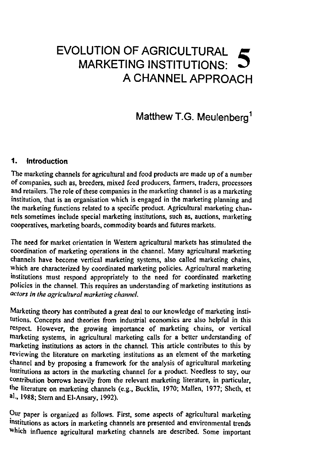# EVOLUTION OF AGRICULTURAL MARKETING INSTITUTIONS: A CHANNEL APPROACH

Matthew T.G. Meulenberg<sup>1</sup>

#### **1. Introduction**

The marketing channels for agricultural and food products are made up of a number of companies, such as, breeders, mixed feed producers, farmers, traders, processors and retailers. The role of these companies in the marketing channel is as a marketing institution, that is an organisation which is engaged in the marketing planning and the marketing functions related to a specific product. Agricultural marketing channels sometimes include special marketing institutions, such as, auctions, marketing cooperatives, marketing boards, commodity boards and futures markets.

The need for market orientation in Western agricultural markets has stimulated the coordination of marketing operations in the channel. Many agricultural marketing channels have become vertical marketing systems, also called marketing chains, which are characterized by coordinated marketing policies. Agricultural marketing institutions must respond appropriately to the need for coordinated marketing policies in the channel. This requires an understanding of marketing institutions as *actors in the agricultural marketing channel.* 

Marketing theory has contributed a great deal to our knowledge of marketing institutions. Concepts and theories from industrial economics are also helpful in this respect. However, the growing importance of marketing chains, or vertical marketing systems, in agricultural marketing calls for a better understanding of marketing institutions as actors in the channel. This article contributes to this by reviewing the literature on marketing institutions as an element of the marketing channel and by proposing a framework for the analysis of agricultural marketing institutions as actors in the marketing channel for a product. Needless to say, our contribution borrows heavily from the relevant marketing literature, in particular, the literature on marketing channels (e.g., Bucklin, 1970; Mallen, 1977; Sheth, et al.. 1988; Stern and El-Ansary, 1992).

Our paper is organized as follows. First, some aspects of agricultural marketing institutions as actors in marketing channels are presented and environmental trends which influence agricultural marketing channels are described. Some important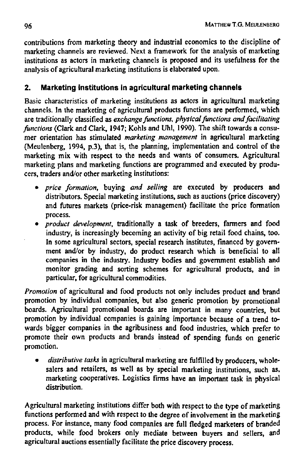contributions from marketing theory and industrial economics to the discipline of marketing channels are reviewed. Next a framework for the analysis of marketing institutions as actors in marketing channels is proposed and its usefulness for the analysis of agricultural marketing institutions is elaborated upon.

# **2. Marketing institutions in agricultural marketing channels**

Basic characteristics of marketing institutions as actors in agricultural marketing channels. In the marketing of agricultural products functions are performed, which are traditionally classified as *exchange functions, physical functions and facilitating functions* (Clark and Clark, 1947; Kohls and Uhl, 1990). The shift towards a consumer orientation has stimulated *marketing management* in agricultural marketing (Meulenberg, 1994, p.3), that is, the planning, implementation and control of the marketing mix with respect to the needs and wants of consumers. Agricultural marketing plans and marketing functions are programmed and executed by producers, traders and/or other marketing institutions:

- • *price formation,* buying *and selling* are executed by producers and distributors. Special marketing institutions, such as auctions (price discovery) and futures markets (price-risk management) facilitate the price formation process.
- • *product development,* traditionally a task of breeders, farmers and food industry, is increasingly becoming an activity of big retail food chains, too. In some agricultural sectors, special research institutes, financed by government and/or by industry, do product research which is beneficial to all companies in the industry. Industry bodies and government establish and monitor grading and sorting schemes for agricultural products, and in particular, for agricultural commodities.

*Promotion* of agricultural and food products not only includes product and brand promotion by individual companies, but also generic promotion by promotional boards. Agricultural promotional boards are important in many countries, but promotion by individual companies is gaining importance because of a trend towards bigger companies in the agribusiness and food industries, which prefer to promote their own products and brands instead of spending funds on generic promotion.

• *distributive tasks* in agricultural marketing are fulfilled by producers, wholesalers and retailers, as well as by special marketing institutions, such as, marketing cooperatives. Logistics firms have an important task in physical distribution.

Agricultural marketing institutions differ both with respect to the type of marketing functions performed and with respect to the degree of involvement in the marketing process. For instance, many food companies are full fledged marketers of branded products, while food brokers only mediate between buyers and sellers, and agricultural auctions essentially facilitate the price discovery process.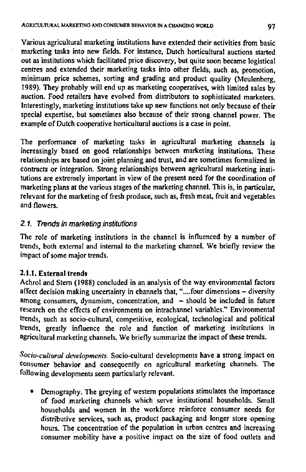Various agricultural marketing institutions have extended their activities from basic marketing tasks into new fields. For instance, Dutch horticultural auctions started out as institutions which facilitated price discovery, but quite soon became logistical centres and extended their marketing tasks into other fields, such as, promotion, minimum price schemes, sorting and grading and product quality (Meulenberg, 1989). They probably will end up as marketing cooperatives, with limited sales by auction. Food retailers have evolved from distributors to sophisticated marketers. Interestingly, marketing institutions take up new functions not only because of their special expertise, but sometimes also because of their strong channel power. The example of Dutch cooperative horticultural auctions is a case in point.

The performance of marketing tasks in agricultural marketing channels is increasingly based on good relationships between marketing institutions. These relationships are based on joint planning and trust, and are sometimes formalized in contracts or integration. Strong relationships between agricultural marketing institutions are extremely important in view of the present need for the coordination of marketing plans at the various stages of the marketing channel. This is, in particular, relevant for the marketing of fresh produce, such as, fresh meat, fruit and vegetables and flowers.

#### 2.1. Trends in marketing institutions

The role of marketing institutions in the channel is influenced by a number of trends, both external and internal to the marketing channel. We briefly review the impact of some major trends.

#### 2.1.1. External trends

Achrol and Stern (1988) concluded in an analysis of the way environmental factors affect decision making uncertainty in channels that, "....four dimensions - diversity among consumers, dynamism, concentration, and  $-$  should be included in future research on the effects of environments on intrachannel variables." Environmental trends, such as socio-cultural, competitive, ecological, technological and political trends, greatly influence the role and function of marketing institutions in agricultural marketing channels. We briefly summarize the impact of these trends.

*Socio-cultural developments.* Socio-cultural developments have a strong impact on consumer behavior and consequently on agricultural marketing channels. The following developments seem particularly relevant.

• Demography. The greying of western populations stimulates the importance of food marketing channels which serve institutional households. Small households and women in the workforce reinforce consumer needs for distributive services, such as, product packaging and longer store opening hours. The concentration of the population in urban centres and increasing consumer mobility have a positive impact on the size of food outlets and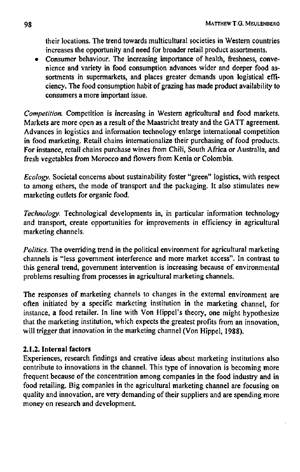their locations. The trend towards multicultural societies in Western countries increases the opportunity and need for broader retail product assortments.

• Consumer behaviour. The increasing importance of health, freshness, convenience and variety in food consumption advances wider and deeper food assortments in supermarkets, and places greater demands upon logistical efficiency. The food consumption habit of grazing has made product availability to consumers a more important issue.

*Competition.* Competition is increasing in Western agricultural and food markets. Markets are more open as a result of the Maastricht treaty and the GATT agreement. Advances in logistics and information technology enlarge international competition in food marketing. Retail chains internationalize their purchasing of food products. For instance, retail chains purchase wines from Chili, South Africa or Australia, and fresh vegetables from Morocco and flowers from Kenia or Colombia.

*Ecology.* Societal concerns about sustainability foster "green" logistics, with respect to among others, the mode of transport and the packaging. It also stimulates new marketing outlets for organic food.

*Technology.* Technological developments in, in particular information technology and transport, create opportunities for improvements in efficiency in agricultural marketing channels.

*Politics*. The overriding trend in the political environment for agricultural marketing channels is "less government interference and more market access". In contrast to this general trend, government intervention is increasing because of environmental problems resulting from processes in agricultural marketing channels.

The responses of marketing channels to changes in the external environment are often initiated by a specific marketing institution in the marketing channel, for instance, a food retailer. In line with Von Hippel's theory, one might hypothesize that the marketing institution, which expects the greatest profits from an innovation, will trigger that innovation in the marketing channel (Von Hippel, 1988).

#### 2.1.2. Internal factors

Experiences, research findings and creative ideas about marketing institutions also contribute to innovations in the channel. This type of innovation is becoming more frequent because of the concentration among companies in the food industry and in food retailing. Big companies in the agricultural marketing channel are focusing on quality and innovation, are very demanding of their suppliers and are spending more money on research and development.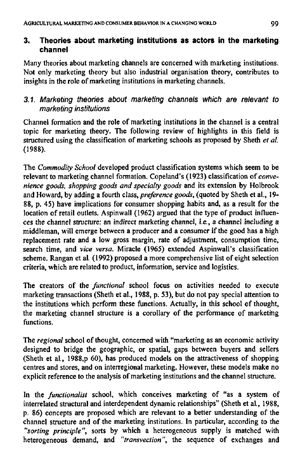# **3. Theories about marketing institutions as actors in the marketing channel**

Many theories about marketing channels are concerned with marketing institutions. Not only marketing theory but also industrial organisation theory, contributes to insights in the role of marketing institutions in marketing channels.

### 3.1. Marketing theories about marketing channels which are relevant to marketing institutions

Channel formation and the role of marketing institutions in the channel is a central topic for marketing theory. The following review of highlights in this field is structured using the classification of marketing schools as proposed by Sheth *et al.*  (1988).

The *Commodity School* developed product classification systems which seem to be relevant to marketing channel formation. Copeland's (1923) classification of *convenience goods, shopping goods and specialty goods* and its extension by Holbrook and Howard, by adding a fourth class, *preference goods,* (quoted by Sheth et al., 19- 88, p. 45) have implications for consumer shopping habits and, as a result for the location of retail outlets. Aspinwall (1962) argued that the type of product influences the channel structure: an indirect marketing channel, i.e., a channel including a middleman, will emerge between a producer and a consumer if the good has a high replacement rate and a low gross margin, rate of adjustment, consumption time, search time, and *vice versa*. Miracle (1965) extended Aspinwall's classification scheme. Rangan et al. (1992) proposed a more comprehensive list of eight selection criteria, which are related to product, information, service and logistics.

The creators of the *functional* school focus on activities needed to execute marketing transactions (Sheth et al., 1988, p. 53), but do not pay special attention to the institutions which perform these functions. Actually, in this school of thought, the marketing channel structure is a corollary of the performance of marketing functions.

The *regional* school of thought, concerned with "marketing as an economic activity designed to bridge the geographic, or spatial, gaps between buyers and sellers (Sheth et al., 1988,p 60), has produced models on the attractiveness of shopping centres and stores, and on interregional marketing. However, these models make no explicit reference to the analysis of marketing institutions and the channel structure.

In the *functionalist* school, which conceives marketing of "as a system of interrelated structural and interdependent dynamic relationships" (Sheth et al., 1988, p. 86) concepts are proposed which are relevant to a better understanding of the channel structure and of the marketing institutions. In particular, according to the "sorting principle", sorts by which a heterogeneous supply is matched heterogeneous demand, and "transvection", the sequence of exchanges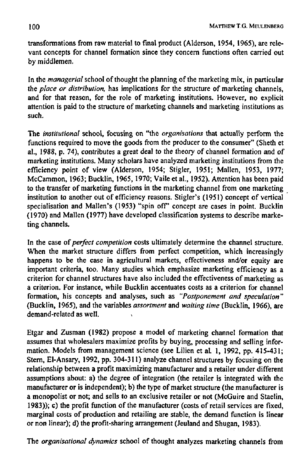In the *managerial* school of thought the planning of the marketing mix, in particular the *place or distribution,* has implications for the structure of marketing channels, and for that reason, for the role of marketing institutions. However, no explicit attention is paid to the structure of marketing channels and marketing institutions as such.

The *institutional* school, focusing on "the *organisations* that actually perform the functions required to move the goods from the producer to the consumer" (Sheth et al., 1988, p. 74), contributes a great deal to the theory of channel formation and of marketing institutions. Many scholars have analyzed marketing institutions from the efficiency point of view (Alderson, 1954; Stigler, 1951; Mallen, 1953, 1977; McCammon, 1963; Bucklin, 1965, 1970; Vaile et al., 1952). Attention has been paid to the transfer of marketing functions in the marketing channel from one marketing institution to another out of efficiency reasons. Stigler's (1951) concept of vertical specialisation and Mallen's (1953) "spin off" concept are cases in point. Bucklin (1970) and Mallen (1977) have developed classification systems to describe marketing channels.

In the case of *perfect competition* costs ultimately determine the channel structure. When the market structure differs from perfect competition, which increasingly happens to be the case in agricultural markets, effectiveness and/or equity are important criteria, too. Many studies which emphasize marketing efficiency as a criterion for channel structures have also included the effectiveness of marketing as a criterion. For instance, while Bucklin accentuates costs as a criterion for channel formation, his concepts and analyses, such as *"Postponement and speculation"*  (Bucklin, 1965), and the variables *assortment* and *waiting time* (Bucklin, 1966), are demand-related as well.

Etgar and Zusman (1982) propose a model of marketing channel formation that assumes that wholesalers maximize profits by buying, processing and selling information. Models from management science (see Lilien et al. 1, 1992, pp. 415-431; Stern, El-Ansary, 1992, pp. 304-311) analyze channel structures by focusing on the relationship between a profit maximizing manufacturer and a retailer under different assumptions about: a) the degree of integration (the retailer is integrated with the manufacturer or is independent); b) the type of market structure (the manufacturer is a monopolist or not; and sells to an exclusive retailer or not (McGuire and Staelin, 1983)); c) the profit function of the manufacturer (costs of retail services are fixed, marginal costs of production and retailing are stable, the demand function is linear or non linear); d) the profit-sharing arrangement (Jeuland and Shugan, 1983).

The *organisational dynamics* school of thought analyzes marketing channels from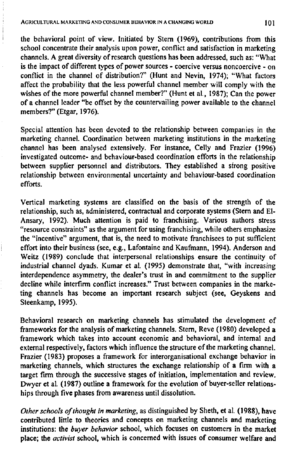the behavioral point of view. Initiated by Stern (1969), contributions from this school concentrate their analysis upon power, conflict and satisfaction in marketing channels. A great diversity of research questions has been addressed, such as: "What is the impact of different types of power sources - coercive versus noncoercive - on conflict in the channel of distribution?" (Hunt and Nevin, 1974); "What factors affect the probability that the less powerful channel member will comply with the wishes of the more powerful channel member?" (Hunt et al., 1987); Can the power of a channel leader "be offset by the countervailing power available to the channel members?" (Etgar, 1976).

Special attention has been devoted to the relationship between companies in the marketing channel. Coordination between marketing institutions in the marketing channel has been analysed extensively. For instance, Celly and Frazier (1996) investigated outcome- and behaviour-based coordination efforts in the relationship between supplier personnel and distributors. They established a strong positive relationship between environmental uncertainty and behaviour-based coordination efforts.

Vertical marketing systems are classified on the basis of the strength of the relationship, such as, administered, contractual and corporate systems (Stern and EI-Ansary, 1992). Much attention is paid to franchising. Various authors stress "resource constraints" as the argument for using franchising, while others emphasize the "incentive" argument, that is, the need to motivate franchisees to put sufficient effort into their business (see, e.g., Lafontaine and Kaufmann, 1994). Anderson and Weitz (1989) conclude that interpersonal relationships ensure the continuity of industrial channel dyads. Kumar et al. (1995) demonstrate that, "with increasing interdependence asymmetry, the dealer's trust in and commitment to the supplier decline while interfirm conflict increases." Trust between companies in the marketing channels has become an important research subject (see, Geyskens and Steenkamp, 1995).

Behavioral research on marketing channels has stimulated the development of frameworks for the analysis of marketing channels. Stern, Reve (1980) developed a framework which takes into account economic and behavioral, and internal and external respectively, factors which influence the structure of the marketing channel. Frazier (1983) proposes a framework for interorganisational exchange behavior in marketing channels, which structures the exchange relationship of a firm with a target firm through the successive stages of initiation, implementation and review. Dwyer et al. (1987) outline a framework for the evolution of buyer-seller relationships through five phases from awareness until dissolution.

*Other schools of thought in marketing,* as distinguished by Sheth, et al. (1988), have contributed little to theories and concepts on marketing channels and marketing institutions: the *buyer behavior* school, which focuses on customers in the market place; the *activist* school, which is concerned with issues of consumer welfare and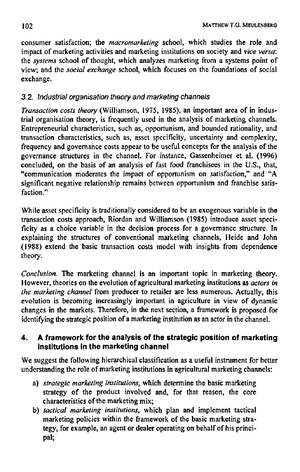consumer satisfaction; the *macromarketing* school, which studies the role and impact of marketing activities and marketing institutions on society and *vice versa:*  the *systems* school of thought, which analyzes marketing from a systems point of view; and the *social exchange* school, which focuses on the foundations of social exchange.

# 3.2. Industrial organisation theory and marketing channels

*Transaction costs theory* (Williamson, 1975, 1985), an important area of in industrial organisation theory, is frequently used in the analysis of marketing channels. Entrepreneurial characteristics, such as, opportunism, and bounded rationality, and transaction characteristics, such as, asset specificity, uncertainty and complexity, frequency and governance costs appear to be useful concepts for the analysis of the governance structures in the channel. For instance, Gassenheimer et al. (1996) concluded, on the basis of an analysis of fast food franchisees in the U.S., that, "communication moderates the impact of opportunism on satisfaction," and "A significant negative relationship remains between opportunism and franchise satisfaction."

While asset specificity is traditionally considered to be an exogenous variable in the transaction costs approach, Riordan and Williamson (1985) introduce asset specificity as a choice variable in the decision process for a governance structure. In explaining the structures of conventional marketing channels, Heide and John (1988) extend the basic transaction costs model with insights from dependence theory.

*Conclusion.* The marketing channel is an important topic in marketing theory. However, theories on the evolution of agricultural marketing institutions as *actors in the marketing channel* from producer to retailer are less numerous. Actually, this evolution is becoming increasingly important in agriculture in view of dynamic changes in the markets. Therefore, in the next section, a framework is proposed for identifying the strategic position of a marketing institution as an actor in the channel.

#### **4. A framework for the analysis of the strategic position of marketing institutions in the marketing channel**

We suggest the following hierarchical classification as a useful instrument for better understanding the role of marketing institutions in agricultural marketing channels:

- a) *strategic marketing institutions,* which determine the basic marketing strategy of the product involved and, for that reason, the core characteristics of the marketing mix;
- b) *tactical marketing institutions,* which plan and implement tactical marketing policies within the framework of the basic marketing strategy, for example, an agent or dealer operating on behalf of his principal;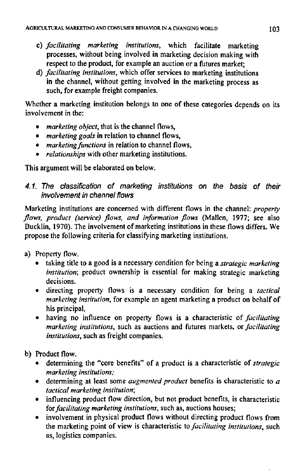- c) *facilitating marketing institutions,* which facilitate marketing processes, without being involved in marketing decision making with respect to the product, for example an auction or a futures market;
- d) *facilitating institutions,* which offer services to marketing institutions in the channel, without getting involved in the marketing process as such, for example freight companies.

Whether a marketing institution belongs to one of these categories depends on its involvement in the:

- • *marketing object,* that is the channel flows,
- • *marketing goals* in relation to channel flows,
- • *marketing functions* in relation to channel flows,
- *relationships* with other marketing institutions.

This argument will be elaborated on below.

#### 4.1. The classification of marketing institutions on the basis of their involvement in channel flows

Marketing institutions are concerned with different flows in the channel: *property flows, product (service) flows, and information flows* (Mallen, 1977; see also Bucklin, 1970). The involvement of marketing institutions in these flows differs. We propose the following criteria for classifying marketing institutions.

a) Property flow.

- taking title to a good is a necessary condition for being a *strategic marketing institution;* product ownership is essential for making strategic marketing decisions.
- directing property flows is a necessary condition for being a *tactical marketing institution,* for example an agent marketing a product on behalf of his principal,
- having no influence on property flows is a characteristic of *facilitating marketing institutions,* such as auctions and futures markets, or *facilitating institutions,* such as freight companies.

b) Product flow.

- determining the "core benefits" of a product is a characteristic of *strategic marketing institutions;*
- determining at least some *augmented product* benefits is characteristic to *a tactical marketing institution;*
- influencing product flow direction, but not product benefits, is characteristic for *facilitating marketing institutions,* such as, auctions houses;
- involvement in physical product flows without directing product flows from the marketing point of view is characteristic to *facilitating institutions,* such as, logistics companies.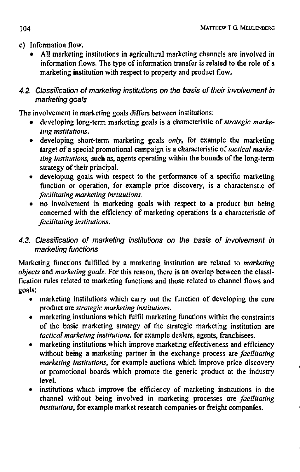- c) Information flow.
	- All marketing institutions in agricultural marketing channels are involved in information flows. The type of information transfer is related to the role of a marketing institution with respect to property and product flow.

#### 4.2. Classification of marketing institutions on the basis of their involvement in marketing goals

The involvement in marketing goals differs between institutions:

- developing long-term marketing goals is a characteristic of *strategic marketing institutions.*
- developing short-term marketing goals *only,* for example the marketing target of a special promotional campaign is a characteristic of *tactical marketing institutions,* such as, agents operating within the bounds of the long-term strategy of their principal.
- developing goals with respect to the performance of a specific marketing function or operation, for example price discovery, is a characteristic of *facilitating marketing institutions.*
- no involvement in marketing goals with respect to a product but being concerned with the efficiency of marketing operations is a characteristic of *facilitating institutions.*
- 4.3. Classification of marketing institutions on the basis of involvement in marketing functions

Marketing functions fulfilled by a marketing institution are related to *marketing objects* and *marketing goals.* For this reason, there is an overlap between the classification rules related to marketing functions and those related to channel flows and goals:

- marketing institutions which carry out the function of developing the core product are *strategic marketing institutions.*
- marketing institutions which fulfil marketing functions within the constraints of the basic marketing strategy of the strategic marketing institution are *tactical marketing institutions,* for example dealers, agents, franchisees.
- marketing institutions which improve marketing effectiveness and efficiency without being a marketing partner in the exchange process are *facilitating marketing institutions,* for example auctions which improve price discovery or promotional boards which promote the generic product at the industry level.
- institutions which improve the efficiency of marketing institutions in the channel without being involved in marketing processes are *facilitating institutions,* for example market research companies or freight companies.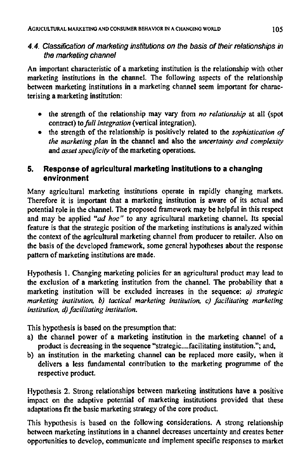### 4.4. Classification of marketing institutions on the basis of their relationships in the marketing channel

An important characteristic of a marketing institution is the relationship with other marketing institutions in the channel. The following aspects of the relationship between marketing institutions in a marketing channel seem important for characterising a marketing institution:

- the strength of the relationship may vary from *no relationship* at all (spot contract) to *full integration* (vertical integration).
- the strength of the relationship is positively related to the *sophistication of the marketing plan* in the channel and also the *uncertainty and complexity*  and *asset specificity* of the marketing operations.

# **5. Response of agricultural marketing institutions to a changing environment**

Many agricultural marketing institutions operate in rapidly changing markets. Therefore it is important that a marketing institution is aware of its actual and potential role in the channel. The proposed framework may be helpful in this respect and may be applied *"ad hoc"* to any agricultural marketing channel. Its special feature is that the strategic position of the marketing institutions is analyzed within the context of the agricultural marketing channel from producer to retailer. Also on the basis of the developed framework, some general hypotheses about the response pattern of marketing institutions are made.

Hypothesis 1. Changing marketing policies for an agricultural product may lead to the exclusion of a marketing institution from the channel. The probability that a marketing institution will be excluded increases in the sequence: *a) strategic marketing institution, b) tactical marketing institution, c) facilitating marketing institution, d) facilitating institution.* 

This hypothesis is based on the presumption that:

- a) the channel power of a marketing institution in the marketing channel of a product is decreasing in the sequence "strategic....facilitating institution."; and,
- b) an institution in the marketing channel can be replaced more easily, when it delivers a less fundamental contribution to the marketing programme of the respective product.

Hypothesis 2. Strong relationships between marketing institutions have a positive impact on the adaptive potential of marketing institutions provided that these adaptations fit the basic marketing strategy of the core product.

This hypothesis is based on the following considerations. A strong relationship between marketing institutions in a channel decreases uncertainty and creates better opportunities to develop, communicate and implement specific responses to market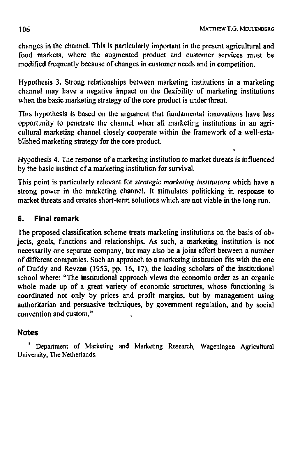changes in the channel. This is particularly important in the present agricultural and food markets, where the augmented product and customer services must be modified frequently because of changes in customer needs and in competition.

Hypothesis 3. Strong relationships between marketing institutions in a marketing channel may have a negative impact on the flexibility of marketing institutions when the basic marketing strategy of the core product is under threat.

This hypothesis is based on the argument that fundamental innovations have less opportunity to penetrate the channel when all marketing institutions in an agricultural marketing channel closely cooperate within the framework of a well-established marketing strategy for the core product.

Hypothesis 4. The response of a marketing institution to market threats is influenced by the basic instinct of a marketing institution for survival.

This point is particularly relevant for *strategic marketing institutions* which have a strong power in the marketing channel. It stimulates politicking in response to market threats and creates short-term solutions which are not viable in the long run.

#### **6. Final remark**

The proposed classification scheme treats marketing institutions on the basis of objects, goals, functions and relationships. As such, a marketing institution is not necessarily one separate company, but may also be a joint effort between a number of different companies. Such an approach to a marketing institution fits with the one of Duddy and Revzan (1953, pp. 16, 17), the leading scholars of the institutional school where: "The institutional approach views the economic order as an organic whole made up of a great variety of economic structures, whose functioning is coordinated not only by prices and profit margins, but by management using authoritarian and persuasive techniques, by government regulation, and by social convention and custom."

#### **Notes**

<sup>t</sup> Department of Marketing and Marketing Research, Wageningen Agricu University, The Netherlands.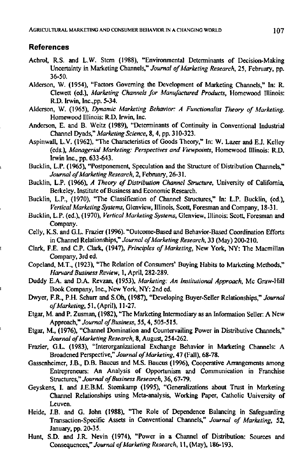#### **References**

- Achrol, R.S. and L.W. Stern (1988), "Environmental Determinants of Decision-Making Uncertainty in Marketing Channels," *Journal of Marketing Research,* 25, February, pp. 36-50.
- Alderson, W. (1954), "Factors Governing the Development of Marketing Channels," In: R. Clewett (ed.), *Marketing Channels for Manufactured Products,* Homewood Illinois: R.D. Irwin, Inc.pp. 5-34.
- Alderson, W. (1965), *Dynamic Marketing Behavior: A Functionalist Theory of Marketing.*  Homewood Illinois: R.D. Irwin, Inc.
- Anderson, E. and B. Weitz (1989), "Determinants of Continuity in Conventional Industrial Channel Dyads," *Marketing Science,* 8,4, pp. 310-323.
- Aspinwall, L.V. (1962), "The Characteristics of Goods Theory," In: W. Lazer and E.J. Kelley (eds.), *Managerial Marketing: Perspectives and Viewpoints,* Homewood Illinois: R.D. Irwin Inc., pp. 633-643.
- Bucklin, L.P. (1965), "Postponement, Speculation and the Structure of Distribution Channels," *Journal of Marketing Research, 2,* February, 26-31.
- Bucklin, L.P. (1966), *A Theory of Distribution Channel Structure,* University of California, Berkeley. Institute of Business and Economic Research.
- Bucklin, L.P., (1970), "The Classification of Channel Structures," In: L.P. Bucklin, (ed.), *Vertical Marketing Systems,* Glenview, Illinois, Scott, Foresman and Company, 18-31.
- Bucklin, L.P. (ed.), (1970), *Vertical Marketing Systems,* Glenview, Illinois: Scott, Foresman and Company.
- Celly, K.S. and G.L. Frazier (1996). "Outcome-Based and Behavior-Based Coordination Efforts in Channel Relationships," *Journal of Marketing Research,* 33 (May) 200-210.
- Clark, F.E. and C.P. Clark, (1947), *Principles of Marketing,* New York, NY: The Macmillan Company, 3rd ed.
- Copeland, M.T., (1923), "The Relation of Consumers' Buying Habits to Marketing Methods," *Harvard Business Review,* 1, April, 282-289.
- Duddy E.A. and D.A. Revzan, (1953), *Marketing: An Institutional Approach,* Mc Graw-Hill Book Company, Inc., New York, NY: 2nd ed.
- Dwyer, F.R., P.H. Schurr and S.Oh, (1987), "Developing Buyer-Seller Relationships," *Journal of Marketing,* 51, (April), 11-27.
- Etgar, M. and P. Zusman, (1982), "The Marketing Intermediary as an Information Seller: A New Approach," *Journal of Business,* 55,4, 505-515.
- Etgar, M., (1976), "Channel Domination and Countervailing Power in Distributive Channels," *Journal of Marketing Research,* 8, August, 254-262.
- Frazier, G.L. (1983), "Interorganizational Exchange Behavior in Marketing Channels: A Broadened Perspective," *Journal of Marketing,* 47 (Fall), 68-78.
- Gassenheimer, J.B., D.B. Baucus and M.S. Baucus (1996), Cooperative Arrangements among Entrepreneurs: An Analysis of Opportunism and Communication in Franchise Structures," *Journal of Business Research,* 36, 67-79.
- Geyskens, I. and J.E.B.M. Steenkamp (1995), "Generalizations about Trust in Marketing Channel Relationships using Meta-analysis, Working Paper, Catholic University of Leuven.
- Heide, J.B. and G. John (1988), "The Role of Dependence Balancing in Safeguarding Transaction-Specific Assets in Conventional Channels," *Journal of Marketing,* 52, January, pp. 20-35.
- Hunt, S.D. and J.R. Nevin (1974), "Power in a Channel of Distribution: Sources and Consequences," *Journal of Marketing Research,* 11, (May), 186-193.